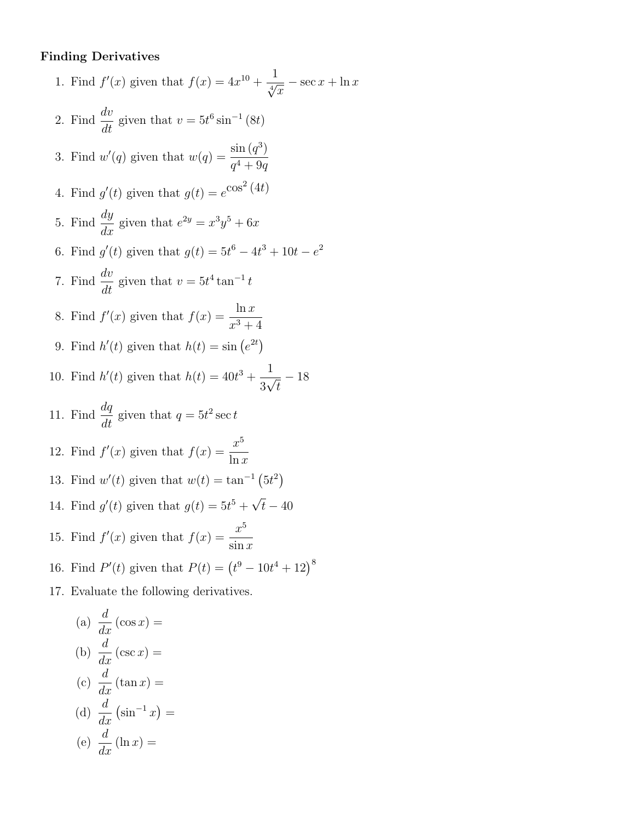#### Finding Derivatives

1. Find  $f'(x)$  given that  $f(x) = 4x^{10} + \frac{1}{\sqrt[4]{x}} - \sec x + \ln x$ 2. Find  $\frac{dv}{dt}$  $\frac{dv}{dt}$  given that  $v = 5t^6 \sin^{-1}(8t)$ 3. Find  $w'(q)$  given that  $w(q) = \frac{\sin(q^3)}{4 \cos(q^3)}$  $q^4+9q$ 4. Find  $g'(t)$  given that  $g(t) = e^{\cos^2(4t)}$ 5. Find  $\frac{dy}{dx}$  $\frac{dy}{dx}$  given that  $e^{2y} = x^3y^5 + 6x$ 6. Find  $g'(t)$  given that  $g(t) = 5t^6 - 4t^3 + 10t - e^2$ 7. Find  $\frac{dv}{dt}$  $\frac{dv}{dt}$  given that  $v = 5t^4 \tan^{-1} t$ 8. Find  $f'(x)$  given that  $f(x) = \frac{\ln x}{x}$  $x^3 + 4$ 9. Find  $h'(t)$  given that  $h(t) = \sin(e^{2t})$ 10. Find  $h'(t)$  given that  $h(t) = 40t^3 + \frac{1}{20}$ 3  $\frac{1}{\tau}$ t  $-18$ 11. Find  $\frac{dq}{dt}$  $\frac{dq}{dt}$  given that  $q = 5t^2 \sec t$ 12. Find  $f'(x)$  given that  $f(x) = \frac{x^5}{1}$  $ln x$ 13. Find  $w'(t)$  given that  $w(t) = \tan^{-1}(5t^2)$ 14. Find  $g'(t)$  given that  $g(t) = 5t^5 +$ √  $t-40$ 15. Find  $f'(x)$  given that  $f(x) = \frac{x^5}{x^5}$  $\sin x$ 16. Find  $P'(t)$  given that  $P(t) = (t^9 - 10t^4 + 12)^8$ 17. Evaluate the following derivatives.

(a) 
$$
\frac{d}{dx}(\cos x) =
$$
  
\n(b)  $\frac{d}{dx}(\csc x) =$   
\n(c)  $\frac{d}{dx}(\tan x) =$   
\n(d)  $\frac{d}{dx}(\sin^{-1} x) =$   
\n(e)  $\frac{d}{dx}(\ln x) =$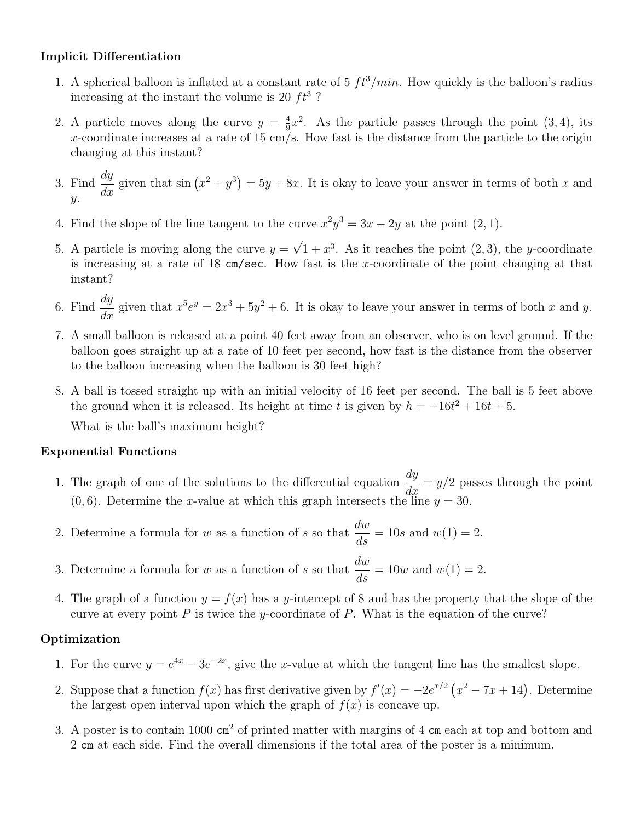## Implicit Differentiation

- 1. A spherical balloon is inflated at a constant rate of 5  $ft^3/min$ . How quickly is the balloon's radius increasing at the instant the volume is 20  $ft^3$ ?
- 2. A particle moves along the curve  $y = \frac{4}{9}$  $\frac{4}{9}x^2$ . As the particle passes through the point (3, 4), its x-coordinate increases at a rate of 15 cm/s. How fast is the distance from the particle to the origin changing at this instant?
- 3. Find  $\frac{dy}{dx}$  given that  $\sin (x^2 + y^3) = 5y + 8x$ . It is okay to leave your answer in terms of both x and  $\hat{y}$ .
- 4. Find the slope of the line tangent to the curve  $x^2y^3 = 3x 2y$  at the point  $(2, 1)$ .
- 5. A particle is moving along the curve  $y =$ √  $1+x^3$ . As it reaches the point  $(2,3)$ , the y-coordinate is increasing at a rate of  $18 \text{ cm/sec}$ . How fast is the x-coordinate of the point changing at that instant?
- 6. Find  $\frac{dy}{dx}$  $\frac{dy}{dx}$  given that  $x^5e^y = 2x^3 + 5y^2 + 6$ . It is okay to leave your answer in terms of both x and y.
- 7. A small balloon is released at a point 40 feet away from an observer, who is on level ground. If the balloon goes straight up at a rate of 10 feet per second, how fast is the distance from the observer to the balloon increasing when the balloon is 30 feet high?
- 8. A ball is tossed straight up with an initial velocity of 16 feet per second. The ball is 5 feet above the ground when it is released. Its height at time t is given by  $h = -16t^2 + 16t + 5$ .

What is the ball's maximum height?

### Exponential Functions

- 1. The graph of one of the solutions to the differential equation  $\frac{dy}{dx}$  $\frac{dy}{dx} = y/2$  passes through the point  $(0, 6)$ . Determine the x-value at which this graph intersects the line  $y = 30$ .
- 2. Determine a formula for w as a function of s so that  $\frac{dw}{dx}$  $\frac{d}{ds} = 10s$  and  $w(1) = 2$ .
- 3. Determine a formula for w as a function of s so that  $\frac{dw}{dt}$  $\frac{d}{ds} = 10w$  and  $w(1) = 2$ .
- 4. The graph of a function  $y = f(x)$  has a y-intercept of 8 and has the property that the slope of the curve at every point  $P$  is twice the y-coordinate of  $P$ . What is the equation of the curve?

# Optimization

- 1. For the curve  $y = e^{4x} 3e^{-2x}$ , give the x-value at which the tangent line has the smallest slope.
- 2. Suppose that a function  $f(x)$  has first derivative given by  $f'(x) = -2e^{x/2} (x^2 7x + 14)$ . Determine the largest open interval upon which the graph of  $f(x)$  is concave up.
- 3. A poster is to contain 1000  $\text{cm}^2$  of printed matter with margins of 4  $\text{cm}$  each at top and bottom and 2 cm at each side. Find the overall dimensions if the total area of the poster is a minimum.